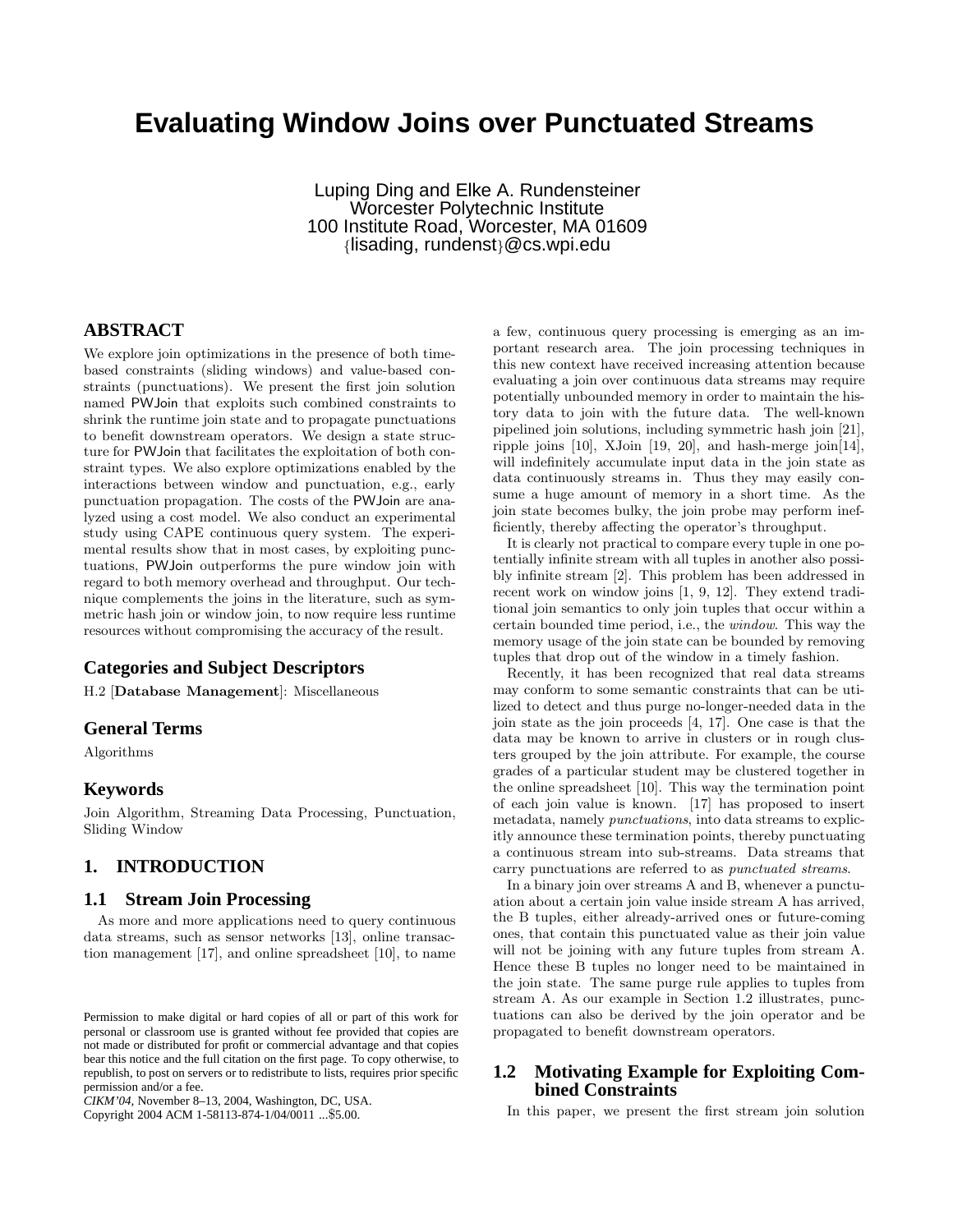# **Evaluating Window Joins over Punctuated Streams**

Luping Ding and Elke A. Rundensteiner Worcester Polytechnic Institute 100 Institute Road, Worcester, MA 01609 {lisading, rundenst}@cs.wpi.edu

## **ABSTRACT**

We explore join optimizations in the presence of both timebased constraints (sliding windows) and value-based constraints (punctuations). We present the first join solution named PWJoin that exploits such combined constraints to shrink the runtime join state and to propagate punctuations to benefit downstream operators. We design a state structure for PWJoin that facilitates the exploitation of both constraint types. We also explore optimizations enabled by the interactions between window and punctuation, e.g., early punctuation propagation. The costs of the PWJoin are analyzed using a cost model. We also conduct an experimental study using CAPE continuous query system. The experimental results show that in most cases, by exploiting punctuations, PWJoin outperforms the pure window join with regard to both memory overhead and throughput. Our technique complements the joins in the literature, such as symmetric hash join or window join, to now require less runtime resources without compromising the accuracy of the result.

### **Categories and Subject Descriptors**

H.2 [**Database Management**]: Miscellaneous

### **General Terms**

Algorithms

### **Keywords**

Join Algorithm, Streaming Data Processing, Punctuation, Sliding Window

## **1. INTRODUCTION**

### **1.1 Stream Join Processing**

As more and more applications need to query continuous data streams, such as sensor networks [13], online transaction management [17], and online spreadsheet [10], to name

a few, continuous query processing is emerging as an important research area. The join processing techniques in this new context have received increasing attention because evaluating a join over continuous data streams may require potentially unbounded memory in order to maintain the history data to join with the future data. The well-known pipelined join solutions, including symmetric hash join [21], ripple joins  $[10]$ , XJoin  $[19, 20]$ , and hash-merge join $[14]$ , will indefinitely accumulate input data in the join state as data continuously streams in. Thus they may easily consume a huge amount of memory in a short time. As the join state becomes bulky, the join probe may perform inefficiently, thereby affecting the operator's throughput.

It is clearly not practical to compare every tuple in one potentially infinite stream with all tuples in another also possibly infinite stream [2]. This problem has been addressed in recent work on window joins [1, 9, 12]. They extend traditional join semantics to only join tuples that occur within a certain bounded time period, i.e., the *window*. This way the memory usage of the join state can be bounded by removing tuples that drop out of the window in a timely fashion.

Recently, it has been recognized that real data streams may conform to some semantic constraints that can be utilized to detect and thus purge no-longer-needed data in the join state as the join proceeds [4, 17]. One case is that the data may be known to arrive in clusters or in rough clusters grouped by the join attribute. For example, the course grades of a particular student may be clustered together in the online spreadsheet [10]. This way the termination point of each join value is known. [17] has proposed to insert metadata, namely *punctuations*, into data streams to explicitly announce these termination points, thereby punctuating a continuous stream into sub-streams. Data streams that carry punctuations are referred to as *punctuated streams*.

In a binary join over streams A and B, whenever a punctuation about a certain join value inside stream A has arrived, the B tuples, either already-arrived ones or future-coming ones, that contain this punctuated value as their join value will not be joining with any future tuples from stream A. Hence these B tuples no longer need to be maintained in the join state. The same purge rule applies to tuples from stream A. As our example in Section 1.2 illustrates, punctuations can also be derived by the join operator and be propagated to benefit downstream operators.

### **1.2 Motivating Example for Exploiting Combined Constraints**

In this paper, we present the first stream join solution

Permission to make digital or hard copies of all or part of this work for personal or classroom use is granted without fee provided that copies are not made or distributed for profit or commercial advantage and that copies bear this notice and the full citation on the first page. To copy otherwise, to republish, to post on servers or to redistribute to lists, requires prior specific permission and/or a fee.

*CIKM'04,* November 8–13, 2004, Washington, DC, USA.

Copyright 2004 ACM 1-58113-874-1/04/0011 ...\$5.00.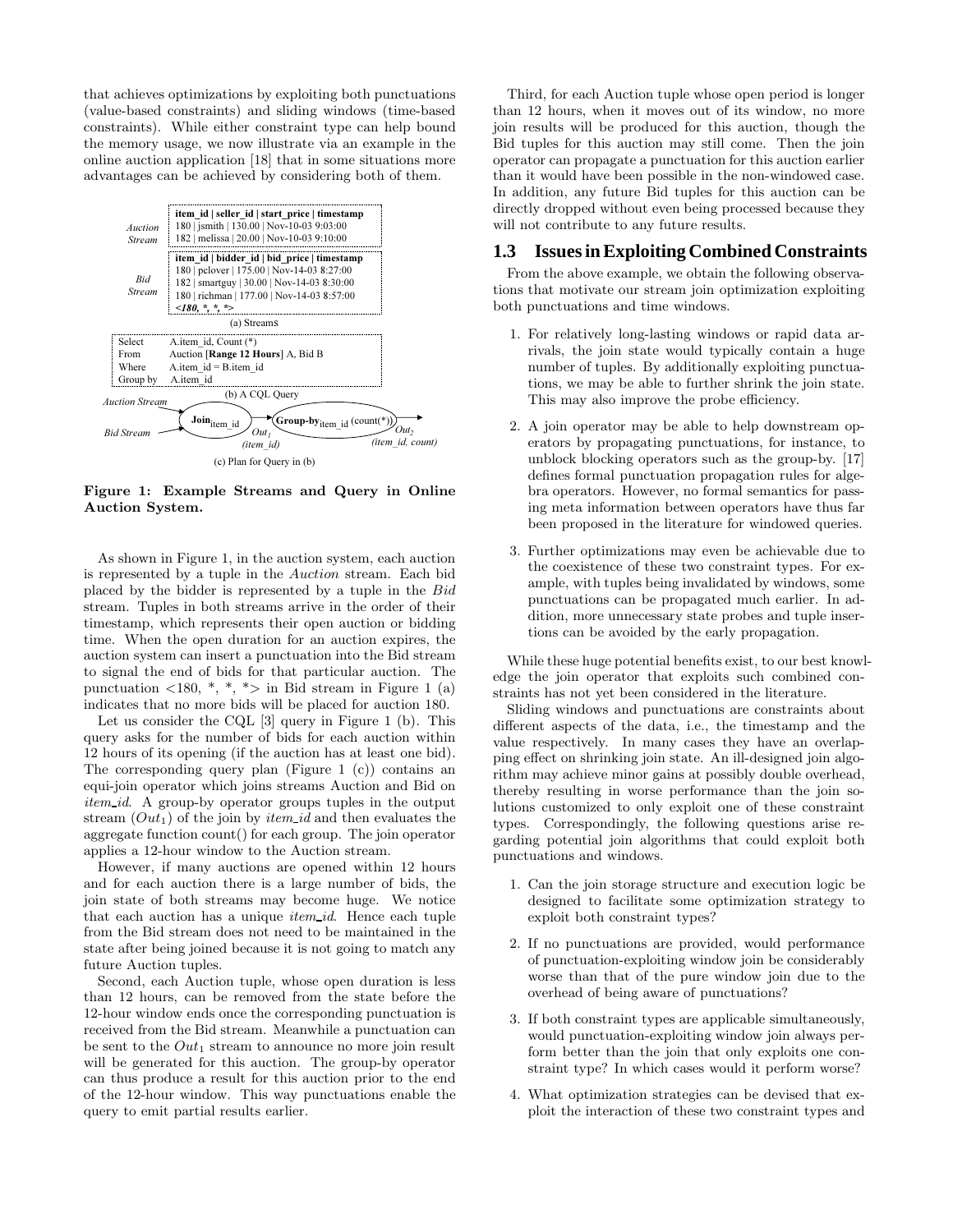that achieves optimizations by exploiting both punctuations (value-based constraints) and sliding windows (time-based constraints). While either constraint type can help bound the memory usage, we now illustrate via an example in the online auction application [18] that in some situations more advantages can be achieved by considering both of them.



**Figure 1: Example Streams and Query in Online Auction System.**

As shown in Figure 1, in the auction system, each auction is represented by a tuple in the Auction stream. Each bid placed by the bidder is represented by a tuple in the Bid stream. Tuples in both streams arrive in the order of their timestamp, which represents their open auction or bidding time. When the open duration for an auction expires, the auction system can insert a punctuation into the Bid stream to signal the end of bids for that particular auction. The punctuation  $\langle 180, *, *, * \rangle$  in Bid stream in Figure 1 (a) indicates that no more bids will be placed for auction 180.

Let us consider the CQL [3] query in Figure 1 (b). This query asks for the number of bids for each auction within 12 hours of its opening (if the auction has at least one bid). The corresponding query plan (Figure 1 (c)) contains an equi-join operator which joins streams Auction and Bid on *item id*. A group-by operator groups tuples in the output stream  $(Out<sub>1</sub>)$  of the join by *item\_id* and then evaluates the aggregate function count() for each group. The join operator applies a 12-hour window to the Auction stream.

However, if many auctions are opened within 12 hours and for each auction there is a large number of bids, the join state of both streams may become huge. We notice that each auction has a unique *item id*. Hence each tuple from the Bid stream does not need to be maintained in the state after being joined because it is not going to match any future Auction tuples.

Second, each Auction tuple, whose open duration is less than 12 hours, can be removed from the state before the 12-hour window ends once the corresponding punctuation is received from the Bid stream. Meanwhile a punctuation can be sent to the  $Out_1$  stream to announce no more join result will be generated for this auction. The group-by operator can thus produce a result for this auction prior to the end of the 12-hour window. This way punctuations enable the query to emit partial results earlier.

Third, for each Auction tuple whose open period is longer than 12 hours, when it moves out of its window, no more join results will be produced for this auction, though the Bid tuples for this auction may still come. Then the join operator can propagate a punctuation for this auction earlier than it would have been possible in the non-windowed case. In addition, any future Bid tuples for this auction can be directly dropped without even being processed because they will not contribute to any future results.

### **1.3 Issues in Exploiting Combined Constraints**

From the above example, we obtain the following observations that motivate our stream join optimization exploiting both punctuations and time windows.

- 1. For relatively long-lasting windows or rapid data arrivals, the join state would typically contain a huge number of tuples. By additionally exploiting punctuations, we may be able to further shrink the join state. This may also improve the probe efficiency.
- 2. A join operator may be able to help downstream operators by propagating punctuations, for instance, to unblock blocking operators such as the group-by. [17] defines formal punctuation propagation rules for algebra operators. However, no formal semantics for passing meta information between operators have thus far been proposed in the literature for windowed queries.
- 3. Further optimizations may even be achievable due to the coexistence of these two constraint types. For example, with tuples being invalidated by windows, some punctuations can be propagated much earlier. In addition, more unnecessary state probes and tuple insertions can be avoided by the early propagation.

While these huge potential benefits exist, to our best knowledge the join operator that exploits such combined constraints has not yet been considered in the literature.

Sliding windows and punctuations are constraints about different aspects of the data, i.e., the timestamp and the value respectively. In many cases they have an overlapping effect on shrinking join state. An ill-designed join algorithm may achieve minor gains at possibly double overhead, thereby resulting in worse performance than the join solutions customized to only exploit one of these constraint types. Correspondingly, the following questions arise regarding potential join algorithms that could exploit both punctuations and windows.

- 1. Can the join storage structure and execution logic be designed to facilitate some optimization strategy to exploit both constraint types?
- 2. If no punctuations are provided, would performance of punctuation-exploiting window join be considerably worse than that of the pure window join due to the overhead of being aware of punctuations?
- 3. If both constraint types are applicable simultaneously, would punctuation-exploiting window join always perform better than the join that only exploits one constraint type? In which cases would it perform worse?
- 4. What optimization strategies can be devised that exploit the interaction of these two constraint types and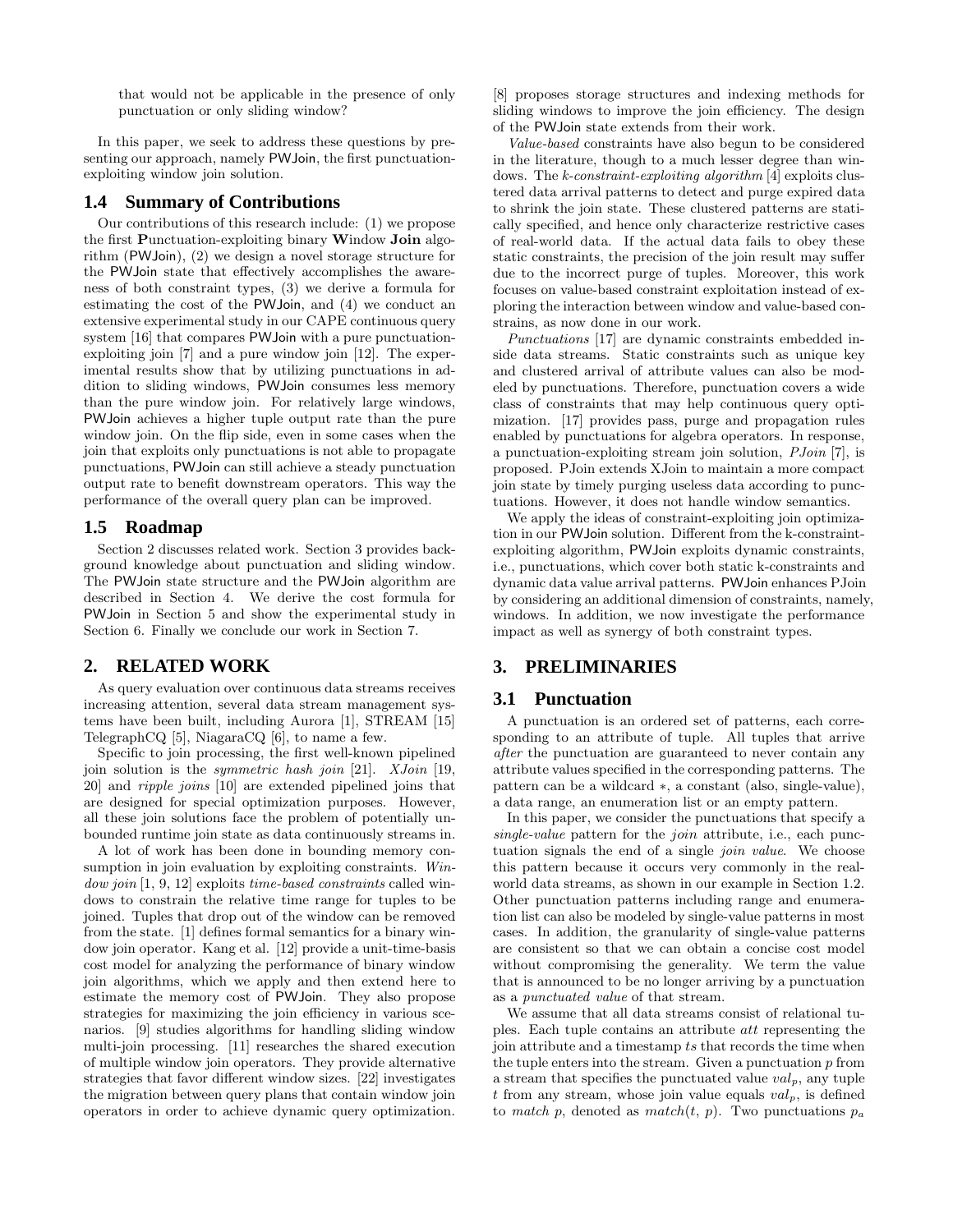that would not be applicable in the presence of only punctuation or only sliding window?

In this paper, we seek to address these questions by presenting our approach, namely PWJoin, the first punctuationexploiting window join solution.

### **1.4 Summary of Contributions**

Our contributions of this research include: (1) we propose the first **P**unctuation-exploiting binary **W**indow **Join** algorithm (PWJoin), (2) we design a novel storage structure for the PWJoin state that effectively accomplishes the awareness of both constraint types, (3) we derive a formula for estimating the cost of the PWJoin, and (4) we conduct an extensive experimental study in our CAPE continuous query system [16] that compares PWJoin with a pure punctuationexploiting join [7] and a pure window join [12]. The experimental results show that by utilizing punctuations in addition to sliding windows, PWJoin consumes less memory than the pure window join. For relatively large windows, PWJoin achieves a higher tuple output rate than the pure window join. On the flip side, even in some cases when the join that exploits only punctuations is not able to propagate punctuations, PWJoin can still achieve a steady punctuation output rate to benefit downstream operators. This way the performance of the overall query plan can be improved.

### **1.5 Roadmap**

Section 2 discusses related work. Section 3 provides background knowledge about punctuation and sliding window. The PWJoin state structure and the PWJoin algorithm are described in Section 4. We derive the cost formula for PWJoin in Section 5 and show the experimental study in Section 6. Finally we conclude our work in Section 7.

### **2. RELATED WORK**

As query evaluation over continuous data streams receives increasing attention, several data stream management systems have been built, including Aurora [1], STREAM [15] TelegraphCQ [5], NiagaraCQ [6], to name a few.

Specific to join processing, the first well-known pipelined join solution is the *symmetric hash join* [21]. *XJoin* [19, 20] and *ripple joins* [10] are extended pipelined joins that are designed for special optimization purposes. However, all these join solutions face the problem of potentially unbounded runtime join state as data continuously streams in.

A lot of work has been done in bounding memory consumption in join evaluation by exploiting constraints. *Window join* [1, 9, 12] exploits *time-based constraints* called windows to constrain the relative time range for tuples to be joined. Tuples that drop out of the window can be removed from the state. [1] defines formal semantics for a binary window join operator. Kang et al. [12] provide a unit-time-basis cost model for analyzing the performance of binary window join algorithms, which we apply and then extend here to estimate the memory cost of PWJoin. They also propose strategies for maximizing the join efficiency in various scenarios. [9] studies algorithms for handling sliding window multi-join processing. [11] researches the shared execution of multiple window join operators. They provide alternative strategies that favor different window sizes. [22] investigates the migration between query plans that contain window join operators in order to achieve dynamic query optimization.

[8] proposes storage structures and indexing methods for sliding windows to improve the join efficiency. The design of the PWJoin state extends from their work.

*Value-based* constraints have also begun to be considered in the literature, though to a much lesser degree than windows. The *k-constraint-exploiting algorithm* [4] exploits clustered data arrival patterns to detect and purge expired data to shrink the join state. These clustered patterns are statically specified, and hence only characterize restrictive cases of real-world data. If the actual data fails to obey these static constraints, the precision of the join result may suffer due to the incorrect purge of tuples. Moreover, this work focuses on value-based constraint exploitation instead of exploring the interaction between window and value-based constrains, as now done in our work.

*Punctuations* [17] are dynamic constraints embedded inside data streams. Static constraints such as unique key and clustered arrival of attribute values can also be modeled by punctuations. Therefore, punctuation covers a wide class of constraints that may help continuous query optimization. [17] provides pass, purge and propagation rules enabled by punctuations for algebra operators. In response, a punctuation-exploiting stream join solution, *PJoin* [7], is proposed. PJoin extends XJoin to maintain a more compact join state by timely purging useless data according to punctuations. However, it does not handle window semantics.

We apply the ideas of constraint-exploiting join optimization in our PWJoin solution. Different from the k-constraintexploiting algorithm, PWJoin exploits dynamic constraints, i.e., punctuations, which cover both static k-constraints and dynamic data value arrival patterns. PWJoin enhances PJoin by considering an additional dimension of constraints, namely, windows. In addition, we now investigate the performance impact as well as synergy of both constraint types.

## **3. PRELIMINARIES**

### **3.1 Punctuation**

A punctuation is an ordered set of patterns, each corresponding to an attribute of tuple. All tuples that arrive *after* the punctuation are guaranteed to never contain any attribute values specified in the corresponding patterns. The pattern can be a wildcard ∗, a constant (also, single-value), a data range, an enumeration list or an empty pattern.

In this paper, we consider the punctuations that specify a *single-value* pattern for the *join* attribute, i.e., each punctuation signals the end of a single *join value*. We choose this pattern because it occurs very commonly in the realworld data streams, as shown in our example in Section 1.2. Other punctuation patterns including range and enumeration list can also be modeled by single-value patterns in most cases. In addition, the granularity of single-value patterns are consistent so that we can obtain a concise cost model without compromising the generality. We term the value that is announced to be no longer arriving by a punctuation as a *punctuated value* of that stream.

We assume that all data streams consist of relational tuples. Each tuple contains an attribute att representing the join attribute and a timestamp ts that records the time when the tuple enters into the stream. Given a punctuation  $p$  from a stream that specifies the punctuated value  $val_p$ , any tuple t from any stream, whose join value equals  $val_p$ , is defined to *match* p, denoted as  $match(t, p)$ . Two punctuations  $p_a$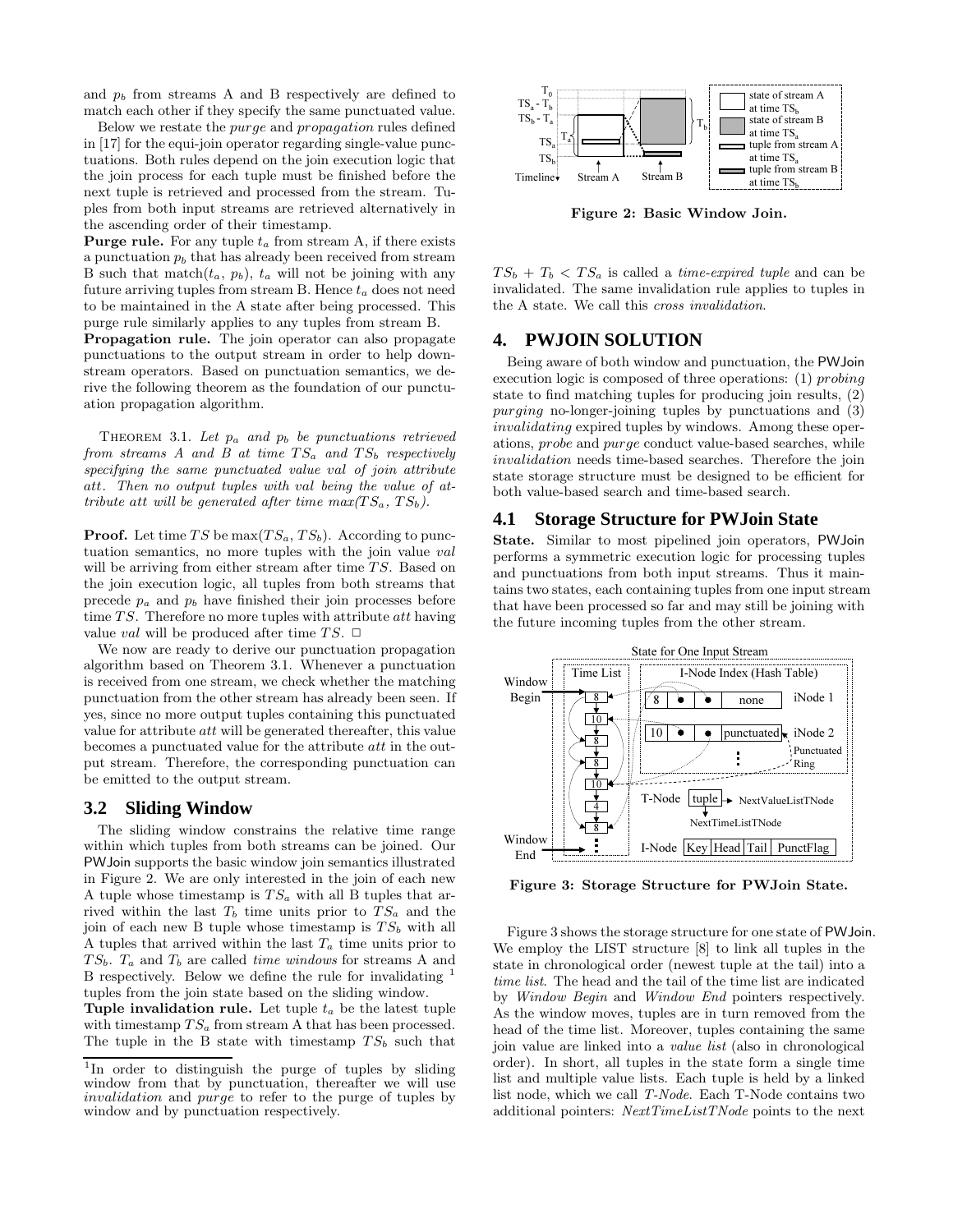and <sup>p</sup>*b* from streams A and B respectively are defined to match each other if they specify the same punctuated value.

Below we restate the purge and propagation rules defined in [17] for the equi-join operator regarding single-value punctuations. Both rules depend on the join execution logic that the join process for each tuple must be finished before the next tuple is retrieved and processed from the stream. Tuples from both input streams are retrieved alternatively in the ascending order of their timestamp.

**Purge rule.** For any tuple  $t_a$  from stream A, if there exists a punctuation <sup>p</sup>*b* that has already been received from stream B such that match $(t_a, p_b)$ ,  $t_a$  will not be joining with any future arriving tuples from stream B. Hence  $t_a$  does not need to be maintained in the A state after being processed. This purge rule similarly applies to any tuples from stream B.

**Propagation rule.** The join operator can also propagate punctuations to the output stream in order to help downstream operators. Based on punctuation semantics, we derive the following theorem as the foundation of our punctuation propagation algorithm.

Theorem 3.1. *Let* <sup>p</sup>*<sup>a</sup> and* <sup>p</sup>*b be punctuations retrieved from streams A and B at time*  $TS_a$  *and*  $TS_b$  *respectively specifying the same punctuated value* val *of join attribute* att*. Then no output tuples with* val *being the value of attribute* att *will* be generated after time  $max(TS_a, TS_b)$ .

**Proof.** Let time TS be max $(TS_a, TS_b)$ . According to punctuation semantics, no more tuples with the join value val will be arriving from either stream after time  $TS$ . Based on the join execution logic, all tuples from both streams that precede <sup>p</sup>*<sup>a</sup>* and <sup>p</sup>*b* have finished their join processes before time  $TS$ . Therefore no more tuples with attribute att having value val will be produced after time  $TS$ .  $\Box$ 

We now are ready to derive our punctuation propagation algorithm based on Theorem 3.1. Whenever a punctuation is received from one stream, we check whether the matching punctuation from the other stream has already been seen. If yes, since no more output tuples containing this punctuated value for attribute att will be generated thereafter, this value becomes a punctuated value for the attribute att in the output stream. Therefore, the corresponding punctuation can be emitted to the output stream.

### **3.2 Sliding Window**

The sliding window constrains the relative time range within which tuples from both streams can be joined. Our PWJoin supports the basic window join semantics illustrated in Figure 2. We are only interested in the join of each new A tuple whose timestamp is  $TS_a$  with all B tuples that arrived within the last  $T_b$  time units prior to  $TS_a$  and the join of each new B tuple whose timestamp is  $TS_b$  with all A tuples that arrived within the last <sup>T</sup>*a* time units prior to  $TS_b$ .  $T_a$  and  $T_b$  are called *time windows* for streams A and B respectively. Below we define the rule for invalidating <sup>1</sup> tuples from the join state based on the sliding window.

**Tuple invalidation rule.** Let tuple  $t_a$  be the latest tuple with timestamp  $TS_a$  from stream A that has been processed. The tuple in the B state with timestamp  $TS_b$  such that



**Figure 2: Basic Window Join.**

 $TS_b + T_b < TS_a$  is called a *time-expired tuple* and can be invalidated. The same invalidation rule applies to tuples in the A state. We call this *cross invalidation*.

### **4. PWJOIN SOLUTION**

Being aware of both window and punctuation, the PWJoin execution logic is composed of three operations: (1) probing state to find matching tuples for producing join results, (2) purging no-longer-joining tuples by punctuations and (3) invalidating expired tuples by windows. Among these operations, probe and purge conduct value-based searches, while invalidation needs time-based searches. Therefore the join state storage structure must be designed to be efficient for both value-based search and time-based search.

### **4.1 Storage Structure for PWJoin State**

**State.** Similar to most pipelined join operators, PWJoin performs a symmetric execution logic for processing tuples and punctuations from both input streams. Thus it maintains two states, each containing tuples from one input stream that have been processed so far and may still be joining with the future incoming tuples from the other stream.



**Figure 3: Storage Structure for PWJoin State.**

Figure 3 shows the storage structure for one state of PWJoin. We employ the LIST structure [8] to link all tuples in the state in chronological order (newest tuple at the tail) into a *time list*. The head and the tail of the time list are indicated by *Window Begin* and *Window End* pointers respectively. As the window moves, tuples are in turn removed from the head of the time list. Moreover, tuples containing the same join value are linked into a *value list* (also in chronological order). In short, all tuples in the state form a single time list and multiple value lists. Each tuple is held by a linked list node, which we call *T-Node*. Each T-Node contains two additional pointers: *NextTimeListTNode* points to the next

<sup>&</sup>lt;sup>1</sup>In order to distinguish the purge of tuples by sliding window from that by punctuation, thereafter we will use invalidation and purge to refer to the purge of tuples by window and by punctuation respectively.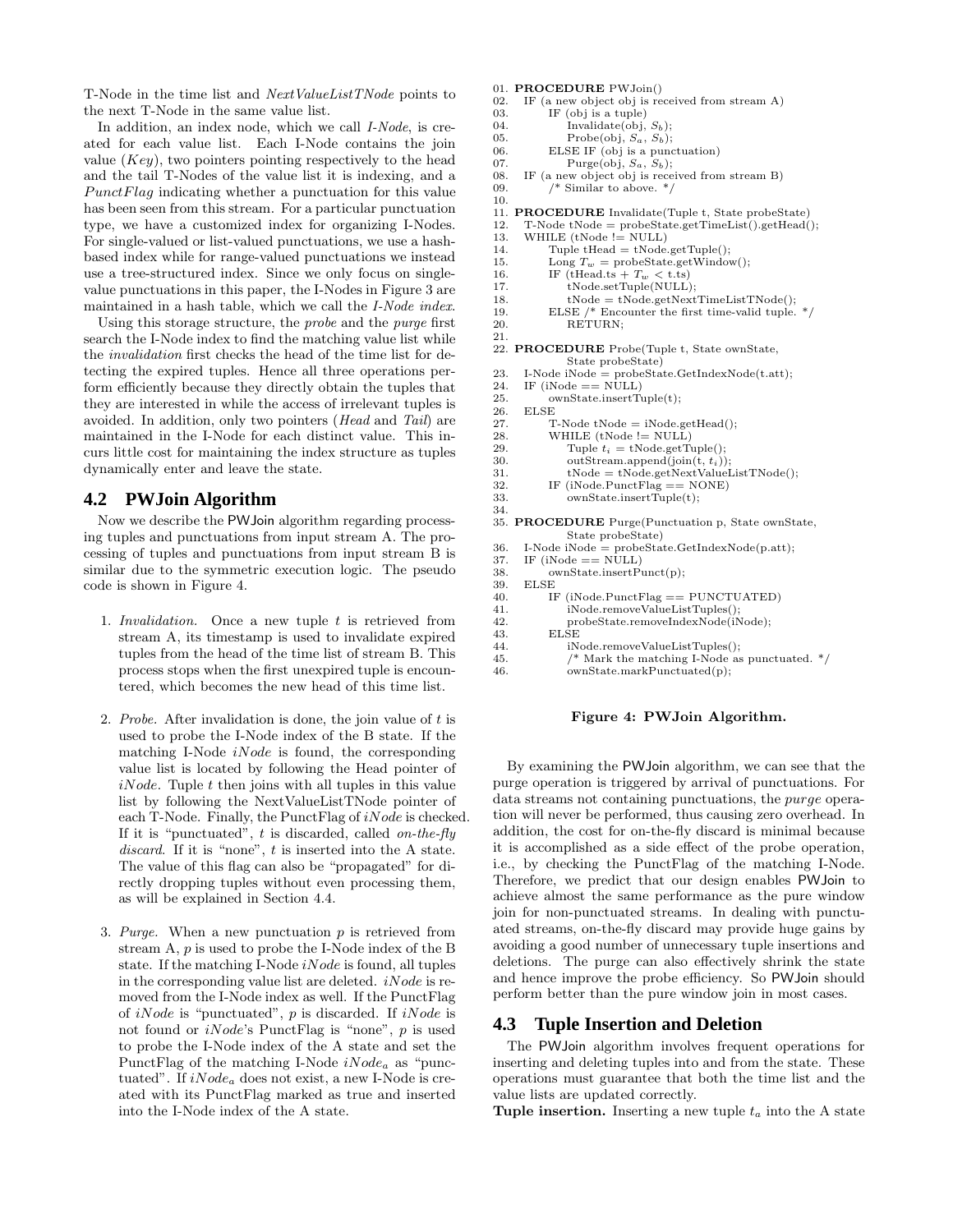T-Node in the time list and *NextValueListTNode* points to the next T-Node in the same value list.

In addition, an index node, which we call *I-Node*, is created for each value list. Each I-Node contains the join value  $(Key)$ , two pointers pointing respectively to the head and the tail T-Nodes of the value list it is indexing, and a  $PunctFlag$  indicating whether a punctuation for this value has been seen from this stream. For a particular punctuation type, we have a customized index for organizing I-Nodes. For single-valued or list-valued punctuations, we use a hashbased index while for range-valued punctuations we instead use a tree-structured index. Since we only focus on singlevalue punctuations in this paper, the I-Nodes in Figure 3 are maintained in a hash table, which we call the *I-Node index*.

Using this storage structure, the *probe* and the *purge* first search the I-Node index to find the matching value list while the *invalidation* first checks the head of the time list for detecting the expired tuples. Hence all three operations perform efficiently because they directly obtain the tuples that they are interested in while the access of irrelevant tuples is avoided. In addition, only two pointers (*Head* and *Tail*) are maintained in the I-Node for each distinct value. This incurs little cost for maintaining the index structure as tuples dynamically enter and leave the state.

### **4.2 PWJoin Algorithm**

Now we describe the PWJoin algorithm regarding processing tuples and punctuations from input stream A. The processing of tuples and punctuations from input stream B is similar due to the symmetric execution logic. The pseudo code is shown in Figure 4.

- 1. *Invalidation.* Once a new tuple t is retrieved from stream A, its timestamp is used to invalidate expired tuples from the head of the time list of stream B. This process stops when the first unexpired tuple is encountered, which becomes the new head of this time list.
- 2. *Probe.* After invalidation is done, the join value of t is used to probe the I-Node index of the B state. If the matching I-Node  $iNode$  is found, the corresponding value list is located by following the Head pointer of  $iNode$ . Tuple t then joins with all tuples in this value list by following the NextValueListTNode pointer of each T-Node. Finally, the PunctFlag of  $iNode$  is checked. If it is "punctuated", t is discarded, called *on-the-fly discard*. If it is "none", t is inserted into the A state. The value of this flag can also be "propagated" for directly dropping tuples without even processing them, as will be explained in Section 4.4.
- 3. *Purge.* When a new punctuation p is retrieved from stream A, p is used to probe the I-Node index of the B state. If the matching I-Node  $iNode$  is found, all tuples in the corresponding value list are deleted. *iNode* is removed from the I-Node index as well. If the PunctFlag of iNode is "punctuated",  $p$  is discarded. If iNode is not found or  $iNode$ 's PunctFlag is "none", p is used to probe the I-Node index of the A state and set the PunctFlag of the matching I-Node *iNode<sub>a</sub>* as "punctuated". If iNode*a* does not exist, a new I-Node is created with its PunctFlag marked as true and inserted into the I-Node index of the A state.

## 01. **PROCEDURE** PWJoin() 02. IF (a new object obj is re

- IF (a new object obj is received from stream A)
- 03. IF (obj is a tuple)<br>04. Invalidate(obj.
- 04. Invalidate(obj,  $S_b$ );<br>05. Probe(obj,  $S_a$ ,  $S_b$ );
- 05. Probe(obj,  $S_a$ ,  $S_b$ );<br>06. ELSE IF (obj is a punc
- 06. ELSE IF (obj is a punctuation)<br>07. Purge(obj.  $S_a$ ,  $S_b$ ):
- 07. Purge(obj,  $S_a$ ,  $S_b$ );<br>08. IF (a new object obj is rece
- 08. IF (a new object obj is received from stream B) 09.  $\frac{\# \text{Similar to above.} \ast}{\# \text{Similar to above.} \ast}$
- $*$  Similar to above.  $*/$
- $\frac{10}{11}$ .
- 11. **PROCEDURE** Invalidate(Tuple t, State probeState)
- 12. T-Node tNode = probeState.getTimeList().getHead();<br>13. WHILE (tNode != NULL) WHILE  $(tNode != NULL)$
- 
- 14. Tuple tHead = tNode.getTuple();<br>15. Long  $T_w$  = probeState.getWindo
- 15. Long  $T_w$  = probeState.getWindow();<br>16. IF (tHead.ts +  $T_w$  < t.ts)
- 16. IF (tHead.ts +  $T_w <$  t.ts)<br>17. tNode.setTuple(NULL)
- 17.  $tNode.setTuple(NULL);$ <br>18.  $tNode = tNode.getNext$
- 18. tNode = tNode.getNextTimeListTNode();<br>19. ELSE /\* Encounter the first time-valid tuple. 19. ELSE /\* Encounter the first time-valid tuple.  $*$ /<br>20. RETURN:
- RETURN;
- 21.
- 22. **PROCEDURE** Probe(Tuple t, State ownState, State probeState)
- 23. I-Node iNode = probeState.GetIndexNode(t.att);<br>24. IF (iNode == NULL)
- 24. IF (iNode  $==$  NULL)<br>25. ownState insertTi
- $ownState.insertTuple(t);$
- 26. ELSE<br>27. T
- 27. T-Node tNode =  $iNode.getHead();$ <br>28. WHILE  $(tNode != NULL)$
- 28. WHILE (tNode != NULL)<br>29. Tuple  $t_i$  = tNode.getTuple();
	-
	-
- 29. Tuple  $t_i = t$ Node.getTuple();<br>
30. outStream.append(join(t,  $t_i$ ));<br>  $t$ Node = tNode getNextValueI
- 31.  $tNode = tNode.getNextValueListTNode();$ <br>32. IF  $(iNode.PunctFlag == NONE)$
- 32. IF (iNode.PunctFlag == NONE)<br>33. ownState.insertTuple(t); 33. ownState.insertTuple(t);
- 
- $34.35.$ 35. **PROCEDURE** Purge(Punctuation p, State ownState,
- State probeState) 36. I-Node iNode = probeState.GetIndexNode(p.att);
- 37. IF  $(iNode == NULL)$
- 
- 38. ownState.insertPunct(p);<br>39. ELSE 39. ELSE<br>40 II
	- IF (iNode.PunctFlag == PUNCTUATED)
- 41. iNode.removeValueListTuples();
- 42. probeState.removeIndexNode(iNode);
- 43. ELSE
- 44. iNode.removeValueListTuples();
- 45. /\* Mark the matching I-Node as punctuated. \*/
- 46. ownState.markPunctuated(p);

#### **Figure 4: PWJoin Algorithm.**

By examining the PWJoin algorithm, we can see that the purge operation is triggered by arrival of punctuations. For data streams not containing punctuations, the purge operation will never be performed, thus causing zero overhead. In addition, the cost for on-the-fly discard is minimal because it is accomplished as a side effect of the probe operation, i.e., by checking the PunctFlag of the matching I-Node. Therefore, we predict that our design enables PWJoin to achieve almost the same performance as the pure window join for non-punctuated streams. In dealing with punctuated streams, on-the-fly discard may provide huge gains by avoiding a good number of unnecessary tuple insertions and deletions. The purge can also effectively shrink the state and hence improve the probe efficiency. So PWJoin should perform better than the pure window join in most cases.

### **4.3 Tuple Insertion and Deletion**

The PWJoin algorithm involves frequent operations for inserting and deleting tuples into and from the state. These operations must guarantee that both the time list and the value lists are updated correctly.

**Tuple insertion.** Inserting a new tuple  $t_a$  into the A state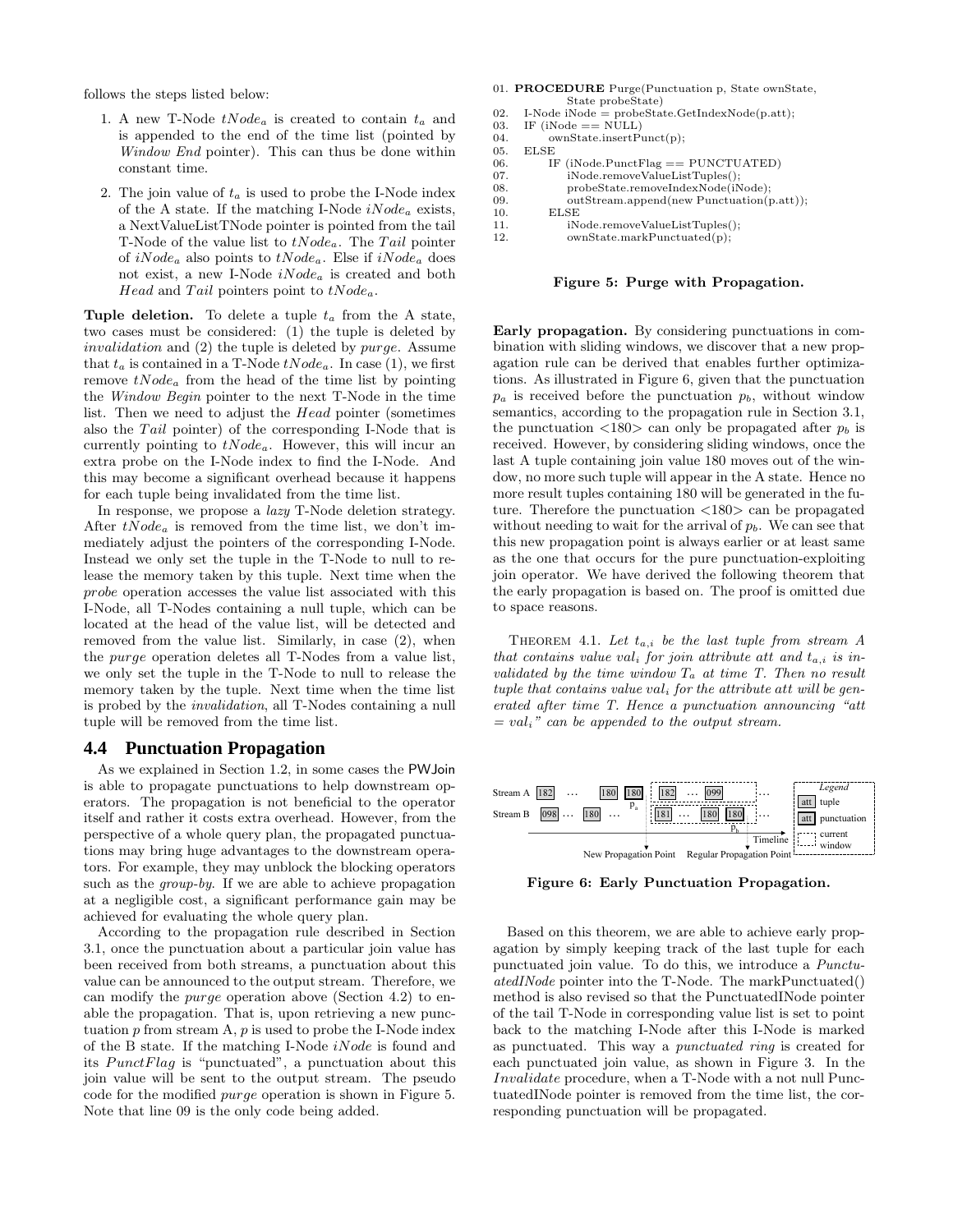follows the steps listed below:

- 1. A new T-Node  $tNode_a$  is created to contain  $t_a$  and is appended to the end of the time list (pointed by *Window End* pointer). This can thus be done within constant time.
- 2. The join value of  $t_a$  is used to probe the I-Node index of the A state. If the matching I-Node  $iNode_a$  exists, a NextValueListTNode pointer is pointed from the tail T-Node of the value list to  $tNode_a$ . The Tail pointer of iNode*a* also points to tNode*a*. Else if iNode*a* does not exist, a new I-Node iNode*a* is created and both Head and Tail pointers point to  $tNode_a$ .

**Tuple deletion.** To delete a tuple  $t_a$  from the A state, two cases must be considered: (1) the tuple is deleted by invalidation and (2) the tuple is deleted by purge. Assume that  $t_a$  is contained in a T-Node  $tNode_a$ . In case (1), we first remove  $tNode_a$  from the head of the time list by pointing the *Window Begin* pointer to the next T-Node in the time list. Then we need to adjust the Head pointer (sometimes also the Tail pointer) of the corresponding I-Node that is currently pointing to tNode*a*. However, this will incur an extra probe on the I-Node index to find the I-Node. And this may become a significant overhead because it happens for each tuple being invalidated from the time list.

In response, we propose a *lazy* T-Node deletion strategy. After  $tNode_a$  is removed from the time list, we don't immediately adjust the pointers of the corresponding I-Node. Instead we only set the tuple in the T-Node to null to release the memory taken by this tuple. Next time when the probe operation accesses the value list associated with this I-Node, all T-Nodes containing a null tuple, which can be located at the head of the value list, will be detected and removed from the value list. Similarly, in case (2), when the purge operation deletes all T-Nodes from a value list, we only set the tuple in the T-Node to null to release the memory taken by the tuple. Next time when the time list is probed by the *invalidation*, all T-Nodes containing a null tuple will be removed from the time list.

### **4.4 Punctuation Propagation**

As we explained in Section 1.2, in some cases the PWJoin is able to propagate punctuations to help downstream operators. The propagation is not beneficial to the operator itself and rather it costs extra overhead. However, from the perspective of a whole query plan, the propagated punctuations may bring huge advantages to the downstream operators. For example, they may unblock the blocking operators such as the *group-by*. If we are able to achieve propagation at a negligible cost, a significant performance gain may be achieved for evaluating the whole query plan.

According to the propagation rule described in Section 3.1, once the punctuation about a particular join value has been received from both streams, a punctuation about this value can be announced to the output stream. Therefore, we can modify the purge operation above (Section 4.2) to enable the propagation. That is, upon retrieving a new punctuation  $p$  from stream A,  $p$  is used to probe the I-Node index of the B state. If the matching I-Node *iNode* is found and its  $PunctFlag$  is "punctuated", a punctuation about this join value will be sent to the output stream. The pseudo code for the modified purge operation is shown in Figure 5. Note that line 09 is the only code being added.

- 01. **PROCEDURE** Purge(Punctuation p, State ownState, State probeState)
- 02. I-Node iNode = probeState.GetIndexNode(p.att);<br>03. IF (iNode == NULL)
- 03. IF ( $iNode == NULL$ )<br>04. ownState.insertPu 04. ownState.insertPunct(p);<br>05. ELSE
- 05.  $$\sf ELSE$$ 06.  $$\sf II$$
- 06. IF (iNode.PunctFlag == PUNCTUATED)<br>07. iNode.removeValueListTuples();
- 07. iNode.removeValueListTuples();<br>08. probeState.removeIndexNode(iN
- 08. probeState.removeIndexNode(iNode);<br>09. outStream.append(new Punctuation(p
- 09.  $outStream.append(new Punction(p.att));$ <br>10.  $ELSE$
- ${\rm ELSE}$
- 11. iNode.removeValueListTuples();<br>12. ownState.markPunctuated(p):
- $ownState.maxkPunctuated(p);$

#### **Figure 5: Purge with Propagation.**

**Early propagation.** By considering punctuations in combination with sliding windows, we discover that a new propagation rule can be derived that enables further optimizations. As illustrated in Figure 6, given that the punctuation  $p_a$  is received before the punctuation  $p_b$ , without window semantics, according to the propagation rule in Section 3.1, the punctuation  $\langle 180 \rangle$  can only be propagated after  $p_b$  is received. However, by considering sliding windows, once the last A tuple containing join value 180 moves out of the window, no more such tuple will appear in the A state. Hence no more result tuples containing 180 will be generated in the future. Therefore the punctuation <180> can be propagated without needing to wait for the arrival of  $p<sub>b</sub>$ . We can see that this new propagation point is always earlier or at least same as the one that occurs for the pure punctuation-exploiting join operator. We have derived the following theorem that the early propagation is based on. The proof is omitted due to space reasons.

THEOREM 4.1. Let  $t_{a,i}$  be the last tuple from stream A *that contains value* val*i for join attribute* att *and* <sup>t</sup>*a,i is invalidated by the time window* <sup>T</sup>*a at time T. Then no result tuple that contains value* val*i for the attribute* att *will be generated after time T. Hence a punctuation announcing "att <sup>=</sup>* val*i" can be appended to the output stream.*



**Figure 6: Early Punctuation Propagation.**

Based on this theorem, we are able to achieve early propagation by simply keeping track of the last tuple for each punctuated join value. To do this, we introduce a *PunctuatedINode* pointer into the T-Node. The markPunctuated() method is also revised so that the PunctuatedINode pointer of the tail T-Node in corresponding value list is set to point back to the matching I-Node after this I-Node is marked as punctuated. This way a *punctuated ring* is created for each punctuated join value, as shown in Figure 3. In the Invalidate procedure, when a T-Node with a not null PunctuatedINode pointer is removed from the time list, the corresponding punctuation will be propagated.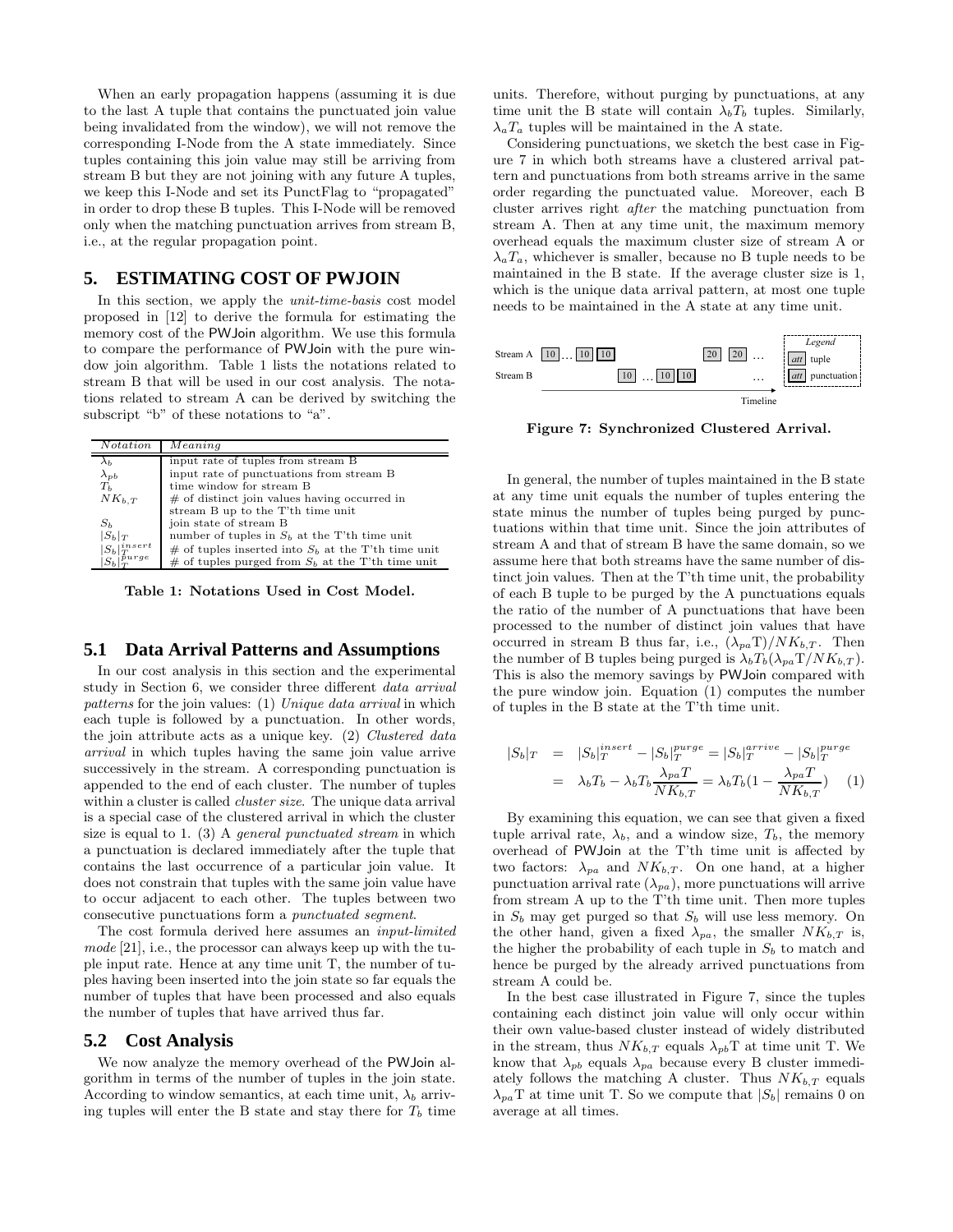When an early propagation happens (assuming it is due to the last A tuple that contains the punctuated join value being invalidated from the window), we will not remove the corresponding I-Node from the A state immediately. Since tuples containing this join value may still be arriving from stream B but they are not joining with any future A tuples, we keep this I-Node and set its PunctFlag to "propagated" in order to drop these B tuples. This I-Node will be removed only when the matching punctuation arrives from stream B, i.e., at the regular propagation point.

### **5. ESTIMATING COST OF PWJOIN**

In this section, we apply the *unit-time-basis* cost model proposed in [12] to derive the formula for estimating the memory cost of the PWJoin algorithm. We use this formula to compare the performance of PWJoin with the pure window join algorithm. Table 1 lists the notations related to stream B that will be used in our cost analysis. The notations related to stream A can be derived by switching the subscript "b" of these notations to "a".

| <i>Notation</i>    | Meaning                                               |
|--------------------|-------------------------------------------------------|
| $\lambda_{b}$      | input rate of tuples from stream B                    |
| $\lambda_{pb}$     | input rate of punctuations from stream B              |
| $T_h$              | time window for stream B                              |
| $NK_{b,T}$         | $\#$ of distinct join values having occurred in       |
|                    | stream B up to the T'th time unit                     |
| $S_b$              | join state of stream B                                |
| $ S_b _T$          | number of tuples in $S_b$ at the T'th time unit       |
| $ S_b _T^{insert}$ | # of tuples inserted into $S_b$ at the T'th time unit |
| purqe              | # of tuples purged from $S_b$ at the T'th time unit   |
|                    |                                                       |

**Table 1: Notations Used in Cost Model.**

### **5.1 Data Arrival Patterns and Assumptions**

In our cost analysis in this section and the experimental study in Section 6, we consider three different *data arrival patterns* for the join values: (1) *Unique data arrival* in which each tuple is followed by a punctuation. In other words, the join attribute acts as a unique key. (2) *Clustered data arrival* in which tuples having the same join value arrive successively in the stream. A corresponding punctuation is appended to the end of each cluster. The number of tuples within a cluster is called *cluster size*. The unique data arrival is a special case of the clustered arrival in which the cluster size is equal to 1. (3) A *general punctuated stream* in which a punctuation is declared immediately after the tuple that contains the last occurrence of a particular join value. It does not constrain that tuples with the same join value have to occur adjacent to each other. The tuples between two consecutive punctuations form a *punctuated segment*.

The cost formula derived here assumes an *input-limited mode* [21], i.e., the processor can always keep up with the tuple input rate. Hence at any time unit T, the number of tuples having been inserted into the join state so far equals the number of tuples that have been processed and also equals the number of tuples that have arrived thus far.

### **5.2 Cost Analysis**

We now analyze the memory overhead of the PWJoin algorithm in terms of the number of tuples in the join state. According to window semantics, at each time unit,  $\lambda_b$  arriving tuples will enter the B state and stay there for  $T<sub>b</sub>$  time units. Therefore, without purging by punctuations, at any time unit the B state will contain  $\lambda_b T_b$  tuples. Similarly,  $\lambda_a T_a$  tuples will be maintained in the A state.

Considering punctuations, we sketch the best case in Figure 7 in which both streams have a clustered arrival pattern and punctuations from both streams arrive in the same order regarding the punctuated value. Moreover, each B cluster arrives right *after* the matching punctuation from stream A. Then at any time unit, the maximum memory overhead equals the maximum cluster size of stream A or  $\lambda_a T_a$ , whichever is smaller, because no B tuple needs to be maintained in the B state. If the average cluster size is 1, which is the unique data arrival pattern, at most one tuple needs to be maintained in the A state at any time unit.



**Figure 7: Synchronized Clustered Arrival.**

In general, the number of tuples maintained in the B state at any time unit equals the number of tuples entering the state minus the number of tuples being purged by punctuations within that time unit. Since the join attributes of stream A and that of stream B have the same domain, so we assume here that both streams have the same number of distinct join values. Then at the T'th time unit, the probability of each B tuple to be purged by the A punctuations equals the ratio of the number of A punctuations that have been processed to the number of distinct join values that have occurred in stream B thus far, i.e.,  $(\lambda_{pa}T)/NK_{b,T}$ . Then the number of B tuples being purged is  $\lambda_b T_b(\lambda_{pa}T/NK_{b,T})$ . This is also the memory savings by PWJoin compared with the pure window join. Equation (1) computes the number of tuples in the B state at the T'th time unit.

$$
|S_b|_T = |S_b|_T^{insert} - |S_b|_T^{pure} = |S_b|_T^{drive} - |S_b|_T^{pure}
$$

$$
= \lambda_b T_b - \lambda_b T_b \frac{\lambda_{pa} T}{N K_{b,T}} = \lambda_b T_b (1 - \frac{\lambda_{pa} T}{N K_{b,T}}) \tag{1}
$$

By examining this equation, we can see that given a fixed tuple arrival rate,  $\lambda_b$ , and a window size,  $T_b$ , the memory overhead of PWJoin at the T'th time unit is affected by two factors:  $\lambda_{pa}$  and  $NK_{b,T}$ . On one hand, at a higher punctuation arrival rate  $(\lambda_{pa})$ , more punctuations will arrive from stream A up to the T'th time unit. Then more tuples in <sup>S</sup>*b* may get purged so that <sup>S</sup>*b* will use less memory. On the other hand, given a fixed  $\lambda_{pa}$ , the smaller  $NK_{b,T}$  is, the higher the probability of each tuple in  $S<sub>b</sub>$  to match and hence be purged by the already arrived punctuations from stream A could be.

In the best case illustrated in Figure 7, since the tuples containing each distinct join value will only occur within their own value-based cluster instead of widely distributed in the stream, thus  $NK_{b,T}$  equals  $\lambda_{pb}T$  at time unit T. We know that  $\lambda_{pb}$  equals  $\lambda_{pa}$  because every B cluster immediately follows the matching A cluster. Thus  $NK_{b,T}$  equals  $\lambda_{pa}$ T at time unit T. So we compute that  $|S_b|$  remains 0 on average at all times.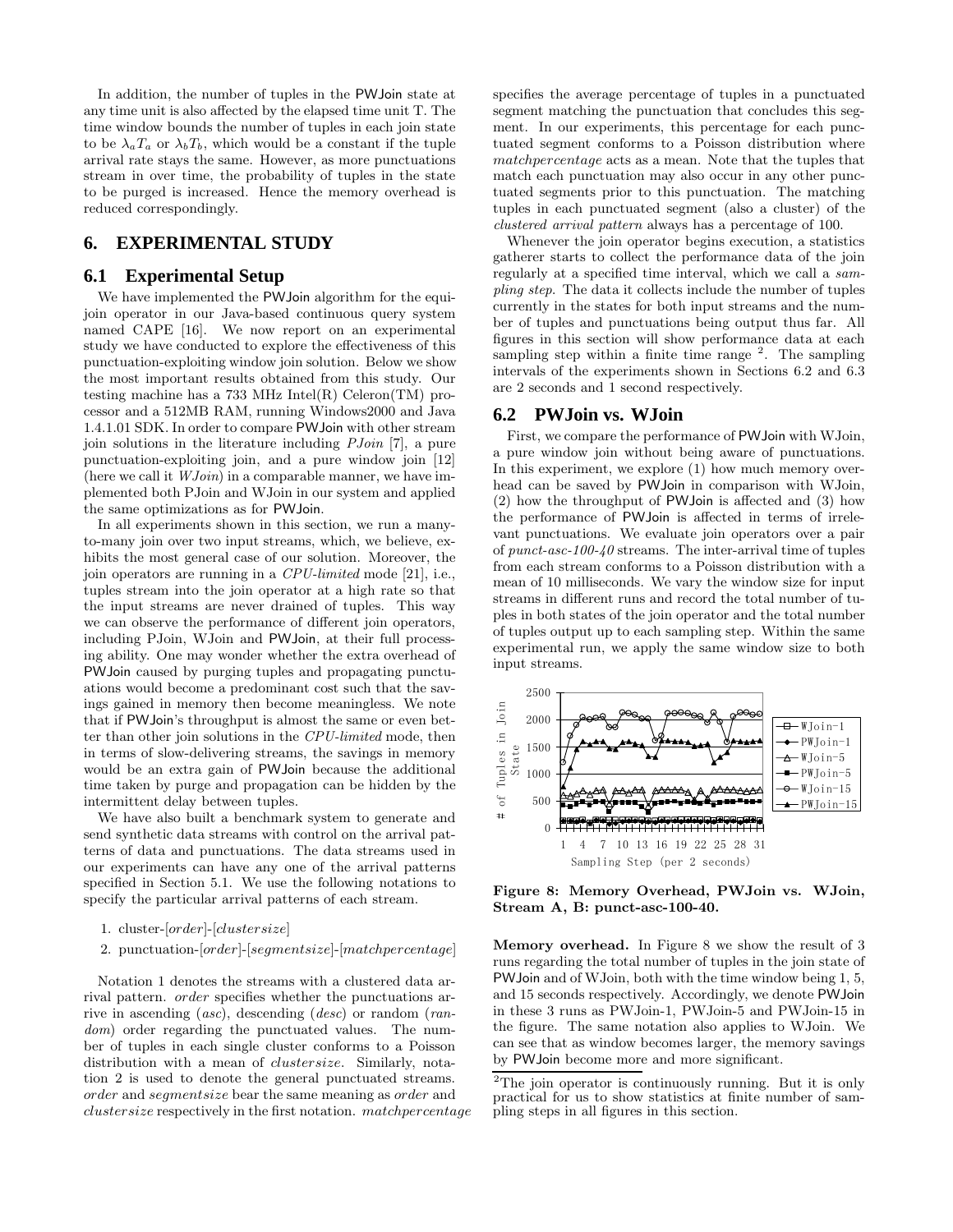In addition, the number of tuples in the PWJoin state at any time unit is also affected by the elapsed time unit T. The time window bounds the number of tuples in each join state to be  $\lambda_a T_a$  or  $\lambda_b T_b$ , which would be a constant if the tuple arrival rate stays the same. However, as more punctuations stream in over time, the probability of tuples in the state to be purged is increased. Hence the memory overhead is reduced correspondingly.

## **6. EXPERIMENTAL STUDY**

### **6.1 Experimental Setup**

We have implemented the PWJoin algorithm for the equijoin operator in our Java-based continuous query system named CAPE [16]. We now report on an experimental study we have conducted to explore the effectiveness of this punctuation-exploiting window join solution. Below we show the most important results obtained from this study. Our testing machine has a 733 MHz Intel(R) Celeron(TM) processor and a 512MB RAM, running Windows2000 and Java 1.4.1.01 SDK. In order to compare PWJoin with other stream join solutions in the literature including *PJoin* [7], a pure punctuation-exploiting join, and a pure window join [12] (here we call it *WJoin*) in a comparable manner, we have implemented both PJoin and WJoin in our system and applied the same optimizations as for PWJoin.

In all experiments shown in this section, we run a manyto-many join over two input streams, which, we believe, exhibits the most general case of our solution. Moreover, the join operators are running in a *CPU-limited* mode [21], i.e., tuples stream into the join operator at a high rate so that the input streams are never drained of tuples. This way we can observe the performance of different join operators, including PJoin, WJoin and PWJoin, at their full processing ability. One may wonder whether the extra overhead of PWJoin caused by purging tuples and propagating punctuations would become a predominant cost such that the savings gained in memory then become meaningless. We note that if PWJoin's throughput is almost the same or even better than other join solutions in the *CPU-limited* mode, then in terms of slow-delivering streams, the savings in memory would be an extra gain of PWJoin because the additional time taken by purge and propagation can be hidden by the intermittent delay between tuples.

We have also built a benchmark system to generate and send synthetic data streams with control on the arrival patterns of data and punctuations. The data streams used in our experiments can have any one of the arrival patterns specified in Section 5.1. We use the following notations to specify the particular arrival patterns of each stream.

- 1. cluster-[order]-[clustersize]
- 2. punctuation-[order]-[segmentsize]-[matchpercentage]

Notation 1 denotes the streams with a clustered data arrival pattern. order specifies whether the punctuations arrive in ascending (*asc*), descending (*desc*) or random (*random*) order regarding the punctuated values. The number of tuples in each single cluster conforms to a Poisson distribution with a mean of *clustersize*. Similarly, notation 2 is used to denote the general punctuated streams. order and segmentsize bear the same meaning as order and clustersize respectively in the first notation. matchpercentage specifies the average percentage of tuples in a punctuated segment matching the punctuation that concludes this segment. In our experiments, this percentage for each punctuated segment conforms to a Poisson distribution where matchpercentage acts as a mean. Note that the tuples that match each punctuation may also occur in any other punctuated segments prior to this punctuation. The matching tuples in each punctuated segment (also a cluster) of the *clustered arrival pattern* always has a percentage of 100.

Whenever the join operator begins execution, a statistics gatherer starts to collect the performance data of the join regularly at a specified time interval, which we call a *sampling step*. The data it collects include the number of tuples currently in the states for both input streams and the number of tuples and punctuations being output thus far. All figures in this section will show performance data at each sampling step within a finite time range  $2$ . The sampling intervals of the experiments shown in Sections 6.2 and 6.3 are 2 seconds and 1 second respectively.

### **6.2 PWJoin vs. WJoin**

First, we compare the performance of PWJoin with WJoin, a pure window join without being aware of punctuations. In this experiment, we explore (1) how much memory overhead can be saved by PWJoin in comparison with WJoin, (2) how the throughput of PWJoin is affected and (3) how the performance of PWJoin is affected in terms of irrelevant punctuations. We evaluate join operators over a pair of *punct-asc-100-40* streams. The inter-arrival time of tuples from each stream conforms to a Poisson distribution with a mean of 10 milliseconds. We vary the window size for input streams in different runs and record the total number of tuples in both states of the join operator and the total number of tuples output up to each sampling step. Within the same experimental run, we apply the same window size to both input streams.



**Figure 8: Memory Overhead, PWJoin vs. WJoin, Stream A, B: punct-asc-100-40.**

**Memory overhead.** In Figure 8 we show the result of 3 runs regarding the total number of tuples in the join state of PWJoin and of WJoin, both with the time window being 1, 5, and 15 seconds respectively. Accordingly, we denote PWJoin in these 3 runs as PWJoin-1, PWJoin-5 and PWJoin-15 in the figure. The same notation also applies to WJoin. We can see that as window becomes larger, the memory savings by PWJoin become more and more significant.

<sup>&</sup>lt;sup>2</sup>The join operator is continuously running. But it is only practical for us to show statistics at finite number of sampling steps in all figures in this section.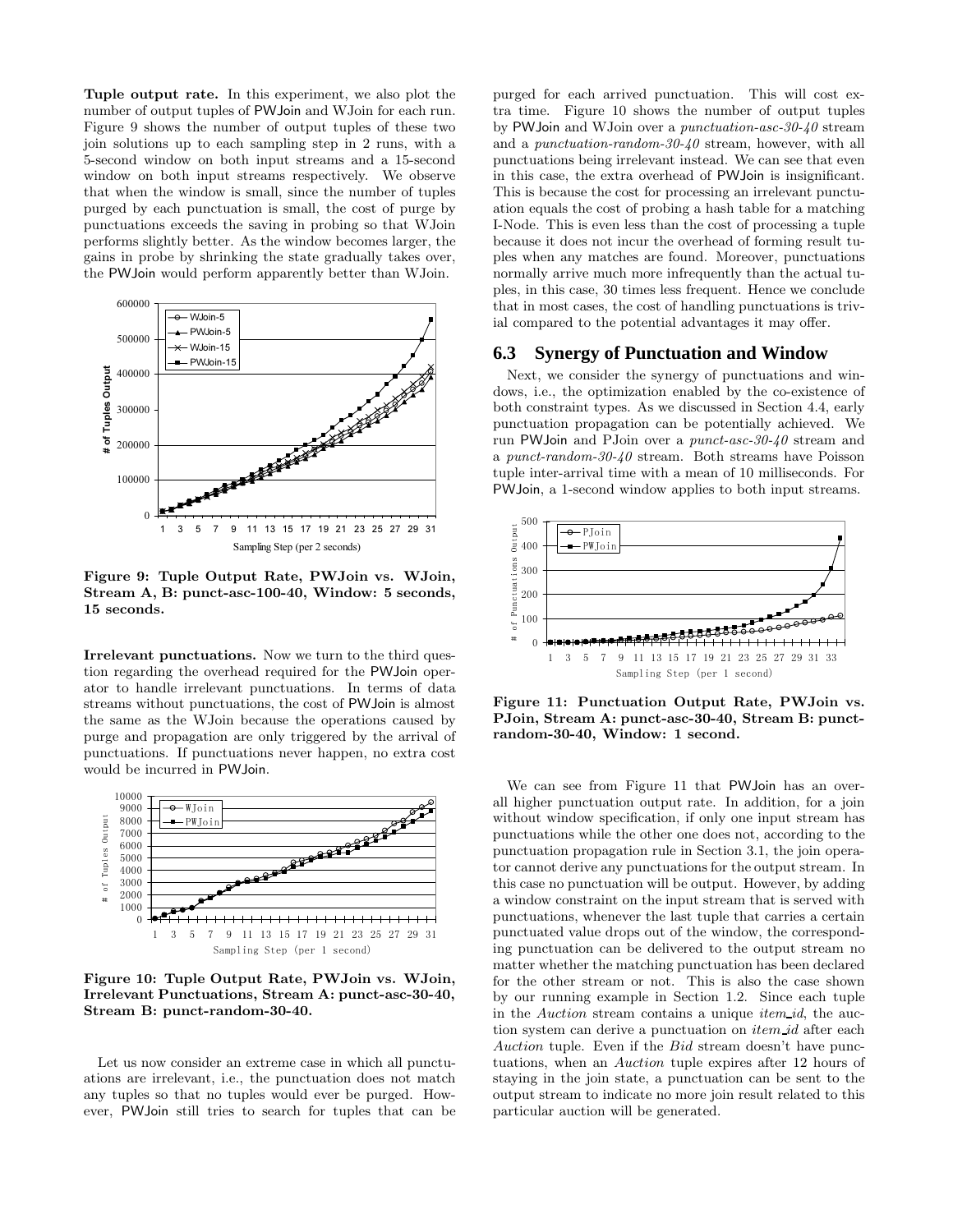**Tuple output rate.** In this experiment, we also plot the number of output tuples of PWJoin and WJoin for each run. Figure 9 shows the number of output tuples of these two join solutions up to each sampling step in 2 runs, with a 5-second window on both input streams and a 15-second window on both input streams respectively. We observe that when the window is small, since the number of tuples purged by each punctuation is small, the cost of purge by punctuations exceeds the saving in probing so that WJoin performs slightly better. As the window becomes larger, the gains in probe by shrinking the state gradually takes over, the PWJoin would perform apparently better than WJoin.



**Figure 9: Tuple Output Rate, PWJoin vs. WJoin, Stream A, B: punct-asc-100-40, Window: 5 seconds, 15 seconds.**

**Irrelevant punctuations.** Now we turn to the third question regarding the overhead required for the PWJoin operator to handle irrelevant punctuations. In terms of data streams without punctuations, the cost of PWJoin is almost the same as the WJoin because the operations caused by purge and propagation are only triggered by the arrival of punctuations. If punctuations never happen, no extra cost would be incurred in PWJoin.



**Figure 10: Tuple Output Rate, PWJoin vs. WJoin, Irrelevant Punctuations, Stream A: punct-asc-30-40, Stream B: punct-random-30-40.**

Let us now consider an extreme case in which all punctuations are irrelevant, i.e., the punctuation does not match any tuples so that no tuples would ever be purged. However, PWJoin still tries to search for tuples that can be purged for each arrived punctuation. This will cost extra time. Figure 10 shows the number of output tuples by PWJoin and WJoin over a *punctuation-asc-30-40* stream and a *punctuation-random-30-40* stream, however, with all punctuations being irrelevant instead. We can see that even in this case, the extra overhead of PWJoin is insignificant. This is because the cost for processing an irrelevant punctuation equals the cost of probing a hash table for a matching I-Node. This is even less than the cost of processing a tuple because it does not incur the overhead of forming result tuples when any matches are found. Moreover, punctuations normally arrive much more infrequently than the actual tuples, in this case, 30 times less frequent. Hence we conclude that in most cases, the cost of handling punctuations is trivial compared to the potential advantages it may offer.

### **6.3 Synergy of Punctuation and Window**

Next, we consider the synergy of punctuations and windows, i.e., the optimization enabled by the co-existence of both constraint types. As we discussed in Section 4.4, early punctuation propagation can be potentially achieved. We run PWJoin and PJoin over a *punct-asc-30-40* stream and a *punct-random-30-40* stream. Both streams have Poisson tuple inter-arrival time with a mean of 10 milliseconds. For PWJoin, a 1-second window applies to both input streams.



**Figure 11: Punctuation Output Rate, PWJoin vs. PJoin, Stream A: punct-asc-30-40, Stream B: punctrandom-30-40, Window: 1 second.**

We can see from Figure 11 that PWJoin has an overall higher punctuation output rate. In addition, for a join without window specification, if only one input stream has punctuations while the other one does not, according to the punctuation propagation rule in Section 3.1, the join operator cannot derive any punctuations for the output stream. In this case no punctuation will be output. However, by adding a window constraint on the input stream that is served with punctuations, whenever the last tuple that carries a certain punctuated value drops out of the window, the corresponding punctuation can be delivered to the output stream no matter whether the matching punctuation has been declared for the other stream or not. This is also the case shown by our running example in Section 1.2. Since each tuple in the *Auction* stream contains a unique *item\_id*, the auction system can derive a punctuation on *item id* after each Auction tuple. Even if the Bid stream doesn't have punctuations, when an Auction tuple expires after 12 hours of staying in the join state, a punctuation can be sent to the output stream to indicate no more join result related to this particular auction will be generated.